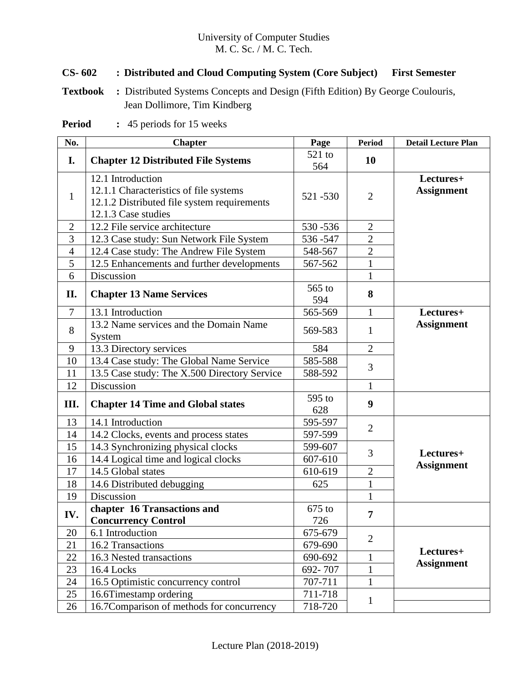### University of Computer Studies M. C. Sc. / M. C. Tech.

## **CS- 602 : Distributed and Cloud Computing System (Core Subject) First Semester**

**Textbook :** Distributed Systems Concepts and Design (Fifth Edition) By George Coulouris, Jean Dollimore, Tim Kindberg

**Period :** 45 periods for 15 weeks

| No.            | <b>Chapter</b>                                                                                                                    | Page            | <b>Period</b>    | <b>Detail Lecture Plan</b>     |
|----------------|-----------------------------------------------------------------------------------------------------------------------------------|-----------------|------------------|--------------------------------|
| I.             | <b>Chapter 12 Distributed File Systems</b>                                                                                        | 521 to<br>564   | <b>10</b>        |                                |
| $\mathbf{1}$   | 12.1 Introduction<br>12.1.1 Characteristics of file systems<br>12.1.2 Distributed file system requirements<br>12.1.3 Case studies | 521 - 530       | $\overline{2}$   | Lectures+<br><b>Assignment</b> |
| $\overline{2}$ | 12.2 File service architecture                                                                                                    | 530-536         | $\overline{2}$   |                                |
| 3              | 12.3 Case study: Sun Network File System                                                                                          | 536-547         | $\sqrt{2}$       |                                |
| $\overline{4}$ | 12.4 Case study: The Andrew File System                                                                                           | 548-567         | $\overline{2}$   |                                |
| 5              | 12.5 Enhancements and further developments                                                                                        | 567-562         | $\mathbf{1}$     |                                |
| 6              | Discussion                                                                                                                        |                 | 1                |                                |
| II.            | <b>Chapter 13 Name Services</b>                                                                                                   | 565 to<br>594   | 8                |                                |
| $\tau$         | 13.1 Introduction                                                                                                                 | 565-569         | $\mathbf{1}$     | Lectures+                      |
| 8              | 13.2 Name services and the Domain Name<br>System                                                                                  | 569-583         | 1                | <b>Assignment</b>              |
| 9              | 13.3 Directory services                                                                                                           | 584             | $\overline{2}$   |                                |
| 10             | 13.4 Case study: The Global Name Service                                                                                          | 585-588         | 3                |                                |
| 11             | 13.5 Case study: The X.500 Directory Service                                                                                      | 588-592         |                  |                                |
| 12             | Discussion                                                                                                                        |                 | $\mathbf{1}$     |                                |
| III.           | <b>Chapter 14 Time and Global states</b>                                                                                          | 595 to<br>628   | $\boldsymbol{9}$ |                                |
| 13             | 14.1 Introduction                                                                                                                 | 595-597         | $\overline{2}$   |                                |
| 14             | 14.2 Clocks, events and process states                                                                                            | 597-599         |                  |                                |
| 15             | 14.3 Synchronizing physical clocks                                                                                                | 599-607         | 3                | Lectures+                      |
| 16             | 14.4 Logical time and logical clocks                                                                                              | 607-610         |                  | <b>Assignment</b>              |
| 17             | 14.5 Global states                                                                                                                | 610-619         | $\mathbf{2}$     |                                |
| 18             | 14.6 Distributed debugging                                                                                                        | 625             | 1                |                                |
| 19             | Discussion                                                                                                                        |                 | $\mathbf{1}$     |                                |
| IV.            | chapter 16 Transactions and<br><b>Concurrency Control</b>                                                                         | $675$ to<br>726 | $\overline{7}$   |                                |
| 20             | 6.1 Introduction                                                                                                                  | 675-679         |                  |                                |
| 21             | 16.2 Transactions                                                                                                                 | 679-690         | $\overline{2}$   |                                |
| 22             | 16.3 Nested transactions                                                                                                          | 690-692         | 1                | Lectures+                      |
| 23             | 16.4 Locks                                                                                                                        | 692-707         | $\mathbf{1}$     | <b>Assignment</b>              |
| 24             | 16.5 Optimistic concurrency control                                                                                               | 707-711         | 1                |                                |
| 25             | 16.6Timestamp ordering                                                                                                            | 711-718         |                  |                                |
| 26             | 16.7Comparison of methods for concurrency                                                                                         | 718-720         | $\mathbf 1$      |                                |